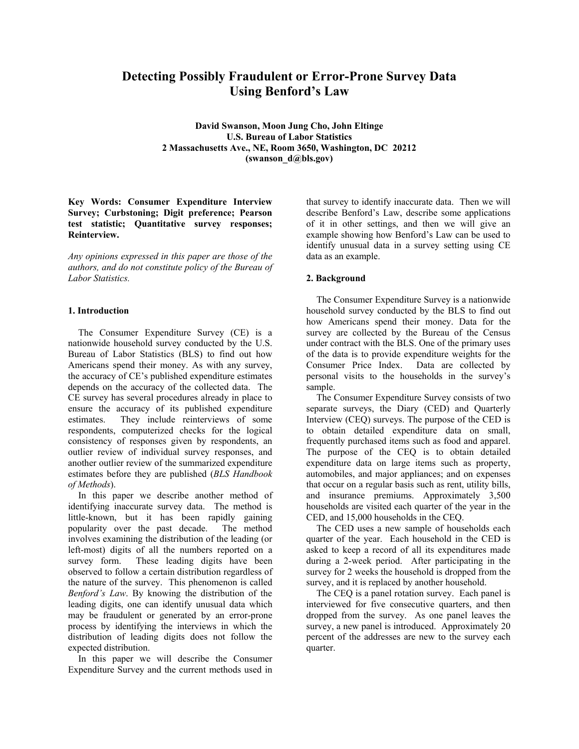# **Detecting Possibly Fraudulent or Error-Prone Survey Data Using Benford's Law**

**David Swanson, Moon Jung Cho, John Eltinge U.S. Bureau of Labor Statistics 2 Massachusetts Ave., NE, Room 3650, Washington, DC 20212 (swanson\_d@bls.gov)** 

**Key Words: Consumer Expenditure Interview Survey; Curbstoning; Digit preference; Pearson test statistic; Quantitative survey responses; Reinterview.** 

*Any opinions expressed in this paper are those of the authors, and do not constitute policy of the Bureau of Labor Statistics.* 

### **1. Introduction**

The Consumer Expenditure Survey (CE) is a nationwide household survey conducted by the U.S. Bureau of Labor Statistics (BLS) to find out how Americans spend their money. As with any survey, the accuracy of CE's published expenditure estimates depends on the accuracy of the collected data. The CE survey has several procedures already in place to ensure the accuracy of its published expenditure estimates. They include reinterviews of some respondents, computerized checks for the logical consistency of responses given by respondents, an outlier review of individual survey responses, and another outlier review of the summarized expenditure estimates before they are published (*BLS Handbook of Methods*).

In this paper we describe another method of identifying inaccurate survey data. The method is little-known, but it has been rapidly gaining popularity over the past decade. The method involves examining the distribution of the leading (or left-most) digits of all the numbers reported on a survey form. These leading digits have been observed to follow a certain distribution regardless of the nature of the survey. This phenomenon is called *Benford's Law*. By knowing the distribution of the leading digits, one can identify unusual data which may be fraudulent or generated by an error-prone process by identifying the interviews in which the distribution of leading digits does not follow the expected distribution.

In this paper we will describe the Consumer Expenditure Survey and the current methods used in

that survey to identify inaccurate data. Then we will describe Benford's Law, describe some applications of it in other settings, and then we will give an example showing how Benford's Law can be used to identify unusual data in a survey setting using CE data as an example.

### **2. Background**

The Consumer Expenditure Survey is a nationwide household survey conducted by the BLS to find out how Americans spend their money. Data for the survey are collected by the Bureau of the Census under contract with the BLS. One of the primary uses of the data is to provide expenditure weights for the Consumer Price Index. Data are collected by personal visits to the households in the survey's sample.

The Consumer Expenditure Survey consists of two separate surveys, the Diary (CED) and Quarterly Interview (CEQ) surveys. The purpose of the CED is to obtain detailed expenditure data on small, frequently purchased items such as food and apparel. The purpose of the CEQ is to obtain detailed expenditure data on large items such as property, automobiles, and major appliances; and on expenses that occur on a regular basis such as rent, utility bills, and insurance premiums. Approximately 3,500 households are visited each quarter of the year in the CED, and 15,000 households in the CEQ.

The CED uses a new sample of households each quarter of the year. Each household in the CED is asked to keep a record of all its expenditures made during a 2-week period. After participating in the survey for 2 weeks the household is dropped from the survey, and it is replaced by another household.

The CEQ is a panel rotation survey. Each panel is interviewed for five consecutive quarters, and then dropped from the survey. As one panel leaves the survey, a new panel is introduced. Approximately 20 percent of the addresses are new to the survey each quarter.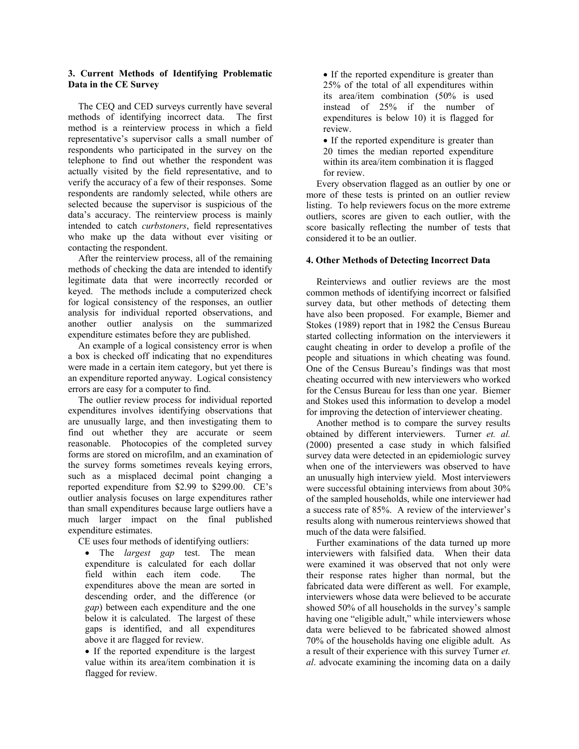## **3. Current Methods of Identifying Problematic Data in the CE Survey**

The CEQ and CED surveys currently have several methods of identifying incorrect data. The first method is a reinterview process in which a field representative's supervisor calls a small number of respondents who participated in the survey on the telephone to find out whether the respondent was actually visited by the field representative, and to verify the accuracy of a few of their responses. Some respondents are randomly selected, while others are selected because the supervisor is suspicious of the data's accuracy. The reinterview process is mainly intended to catch *curbstoners*, field representatives who make up the data without ever visiting or contacting the respondent.

After the reinterview process, all of the remaining methods of checking the data are intended to identify legitimate data that were incorrectly recorded or keyed. The methods include a computerized check for logical consistency of the responses, an outlier analysis for individual reported observations, and another outlier analysis on the summarized expenditure estimates before they are published.

An example of a logical consistency error is when a box is checked off indicating that no expenditures were made in a certain item category, but yet there is an expenditure reported anyway. Logical consistency errors are easy for a computer to find.

The outlier review process for individual reported expenditures involves identifying observations that are unusually large, and then investigating them to find out whether they are accurate or seem reasonable. Photocopies of the completed survey forms are stored on microfilm, and an examination of the survey forms sometimes reveals keying errors, such as a misplaced decimal point changing a reported expenditure from \$2.99 to \$299.00. CE's outlier analysis focuses on large expenditures rather than small expenditures because large outliers have a much larger impact on the final published expenditure estimates.

CE uses four methods of identifying outliers:

• The *largest gap* test. The mean expenditure is calculated for each dollar field within each item code. The expenditures above the mean are sorted in descending order, and the difference (or *gap*) between each expenditure and the one below it is calculated. The largest of these gaps is identified, and all expenditures above it are flagged for review.

• If the reported expenditure is the largest value within its area/item combination it is flagged for review.

• If the reported expenditure is greater than 25% of the total of all expenditures within its area/item combination (50% is used instead of 25% if the number of expenditures is below 10) it is flagged for review.

• If the reported expenditure is greater than 20 times the median reported expenditure within its area/item combination it is flagged for review.

Every observation flagged as an outlier by one or more of these tests is printed on an outlier review listing. To help reviewers focus on the more extreme outliers, scores are given to each outlier, with the score basically reflecting the number of tests that considered it to be an outlier.

# **4. Other Methods of Detecting Incorrect Data**

Reinterviews and outlier reviews are the most common methods of identifying incorrect or falsified survey data, but other methods of detecting them have also been proposed. For example, Biemer and Stokes (1989) report that in 1982 the Census Bureau started collecting information on the interviewers it caught cheating in order to develop a profile of the people and situations in which cheating was found. One of the Census Bureau's findings was that most cheating occurred with new interviewers who worked for the Census Bureau for less than one year. Biemer and Stokes used this information to develop a model for improving the detection of interviewer cheating.

Another method is to compare the survey results obtained by different interviewers. Turner *et. al.* (2000) presented a case study in which falsified survey data were detected in an epidemiologic survey when one of the interviewers was observed to have an unusually high interview yield. Most interviewers were successful obtaining interviews from about 30% of the sampled households, while one interviewer had a success rate of 85%. A review of the interviewer's results along with numerous reinterviews showed that much of the data were falsified.

Further examinations of the data turned up more interviewers with falsified data. When their data were examined it was observed that not only were their response rates higher than normal, but the fabricated data were different as well. For example, interviewers whose data were believed to be accurate showed 50% of all households in the survey's sample having one "eligible adult," while interviewers whose data were believed to be fabricated showed almost 70% of the households having one eligible adult. As a result of their experience with this survey Turner *et. al*. advocate examining the incoming data on a daily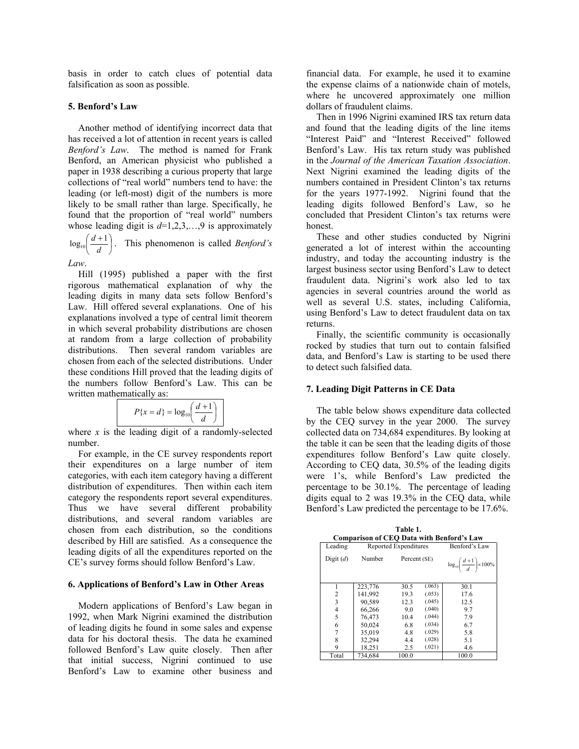basis in order to catch clues of potential data falsification as soon as possible.

#### **5. Benford's Law**

Another method of identifying incorrect data that has received a lot of attention in recent years is called *Benford's Law*. The method is named for Frank Benford, an American physicist who published a paper in 1938 describing a curious property that large collections of "real world" numbers tend to have: the leading (or left-most) digit of the numbers is more likely to be small rather than large. Specifically, he found that the proportion of "real world" numbers whose leading digit is  $d=1,2,3,...,9$  is approximately

 $\overline{\phantom{a}}$ J  $\left(\frac{d+1}{\cdot}\right)$ l  $\int d+$  $\log_{10} \left( \frac{d+1}{d} \right)$ . This phenomenon is called *Benford's* 

*Law*.

Hill (1995) published a paper with the first rigorous mathematical explanation of why the leading digits in many data sets follow Benford's Law. Hill offered several explanations. One of his explanations involved a type of central limit theorem in which several probability distributions are chosen at random from a large collection of probability distributions. Then several random variables are chosen from each of the selected distributions. Under these conditions Hill proved that the leading digits of the numbers follow Benford's Law. This can be written mathematically as:

$$
P\{x=d\}=\log_{10}\left(\frac{d+1}{d}\right)
$$

where  $x$  is the leading digit of a randomly-selected number.

For example, in the CE survey respondents report their expenditures on a large number of item categories, with each item category having a different distribution of expenditures. Then within each item category the respondents report several expenditures. Thus we have several different probability distributions, and several random variables are chosen from each distribution, so the conditions described by Hill are satisfied. As a consequence the leading digits of all the expenditures reported on the CE's survey forms should follow Benford's Law.

#### **6. Applications of Benford's Law in Other Areas**

Modern applications of Benford's Law began in 1992, when Mark Nigrini examined the distribution of leading digits he found in some sales and expense data for his doctoral thesis. The data he examined followed Benford's Law quite closely. Then after that initial success, Nigrini continued to use Benford's Law to examine other business and financial data. For example, he used it to examine the expense claims of a nationwide chain of motels, where he uncovered approximately one million dollars of fraudulent claims.

Then in 1996 Nigrini examined IRS tax return data and found that the leading digits of the line items "Interest Paid" and "Interest Received" followed Benford's Law. His tax return study was published in the *Journal of the American Taxation Association*. Next Nigrini examined the leading digits of the numbers contained in President Clinton's tax returns for the years 1977-1992. Nigrini found that the leading digits followed Benford's Law, so he concluded that President Clinton's tax returns were honest.

These and other studies conducted by Nigrini generated a lot of interest within the accounting industry, and today the accounting industry is the largest business sector using Benford's Law to detect fraudulent data. Nigrini's work also led to tax agencies in several countries around the world as well as several U.S. states, including California, using Benford's Law to detect fraudulent data on tax returns.

Finally, the scientific community is occasionally rocked by studies that turn out to contain falsified data, and Benford's Law is starting to be used there to detect such falsified data.

# **7. Leading Digit Patterns in CE Data**

The table below shows expenditure data collected by the CEQ survey in the year 2000. The survey collected data on 734,684 expenditures. By looking at the table it can be seen that the leading digits of those expenditures follow Benford's Law quite closely. According to CEQ data, 30.5% of the leading digits were 1's, while Benford's Law predicted the percentage to be 30.1%. The percentage of leading digits equal to 2 was 19.3% in the CEQ data, while Benford's Law predicted the percentage to be 17.6%.

**Table 1. Comparison of CEQ Data with Benford's Law** 

| Comparison of CEQ Data with Benford's Law |                       |              |        |                                                       |  |  |
|-------------------------------------------|-----------------------|--------------|--------|-------------------------------------------------------|--|--|
| Leading                                   | Reported Expenditures |              |        | Benford's Law                                         |  |  |
| Digit $(d)$                               | Number                | Percent (SE) |        | $\log_{10} \left( \frac{d+1}{d} \right) \times 100\%$ |  |  |
|                                           | 223,776               | 30.5         | (.063) | 30.1                                                  |  |  |
| 2                                         | 141.992               | 19.3         | (.053) | 17.6                                                  |  |  |
| 3                                         | 90,589                | 12.3         | (.045) | 12.5                                                  |  |  |
| 4                                         | 66,266                | 9.0          | (.040) | 9.7                                                   |  |  |
| 5                                         | 76.473                | 10.4         | (.044) | 7.9                                                   |  |  |
| 6                                         | 50,024                | 6.8          | (.034) | 6.7                                                   |  |  |
| 7                                         | 35,019                | 4.8          | (.029) | 5.8                                                   |  |  |
| 8                                         | 32,294                | 4.4          | (.028) | 5.1                                                   |  |  |
| 9                                         | 18,251                | 2.5          | (.021) | 4.6                                                   |  |  |
| Total                                     | 734.684               | 100.0        |        | 100.0                                                 |  |  |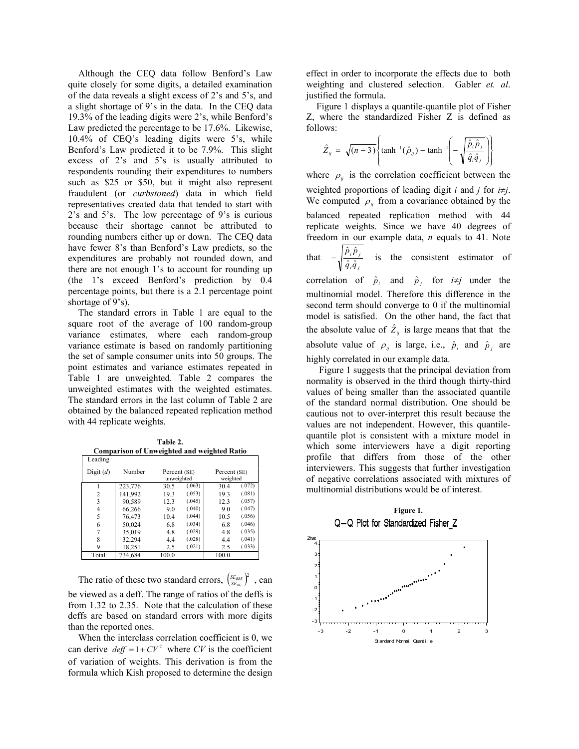Although the CEQ data follow Benford's Law quite closely for some digits, a detailed examination of the data reveals a slight excess of 2's and 5's, and a slight shortage of 9's in the data. In the CEQ data 19.3% of the leading digits were 2's, while Benford's Law predicted the percentage to be 17.6%. Likewise, 10.4% of CEQ's leading digits were 5's, while Benford's Law predicted it to be 7.9%. This slight excess of 2's and 5's is usually attributed to respondents rounding their expenditures to numbers such as \$25 or \$50, but it might also represent fraudulent (or *curbstoned*) data in which field representatives created data that tended to start with 2's and 5's. The low percentage of 9's is curious because their shortage cannot be attributed to rounding numbers either up or down. The CEQ data have fewer 8's than Benford's Law predicts, so the expenditures are probably not rounded down, and there are not enough 1's to account for rounding up (the 1's exceed Benford's prediction by 0.4 percentage points, but there is a 2.1 percentage point shortage of 9's).

The standard errors in Table 1 are equal to the square root of the average of 100 random-group variance estimates, where each random-group variance estimate is based on randomly partitioning the set of sample consumer units into 50 groups. The point estimates and variance estimates repeated in Table 1 are unweighted. Table 2 compares the unweighted estimates with the weighted estimates. The standard errors in the last column of Table 2 are obtained by the balanced repeated replication method with 44 replicate weights.

**Table 2. Comparison of Unweighted and weighted Ratio** 

| Leading        |         | $-$   |                            | $1.94$ and $0.44$ and $0.04$ |                          |  |
|----------------|---------|-------|----------------------------|------------------------------|--------------------------|--|
| Digit $(d)$    | Number  |       | Percent (SE)<br>unweighted |                              | Percent (SE)<br>weighted |  |
|                | 223,776 | 30.5  | (.063)                     | 30.4                         | (.072)                   |  |
| $\overline{c}$ | 141,992 | 19.3  | (.053)                     | 19.3                         | (.081)                   |  |
| 3              | 90.589  | 12.3  | (.045)                     | 12.3                         | (.057)                   |  |
| 4              | 66,266  | 9.0   | (.040)                     | 9.0                          | (.047)                   |  |
| 5              | 76,473  | 10.4  | (.044)                     | 10.5                         | (.056)                   |  |
| 6              | 50,024  | 6.8   | (.034)                     | 6.8                          | (.046)                   |  |
|                | 35,019  | 4.8   | (.029)                     | 4.8                          | (.035)                   |  |
| 8              | 32,294  | 4.4   | (.028)                     | 4.4                          | (.041)                   |  |
| 9              | 18,251  | 2.5   | (.021)                     | 2.5                          | (.033)                   |  |
| Total          | 734.684 | 100.0 |                            | 100.0                        |                          |  |

The ratio of these two standard errors,  $\left(\frac{SE_{BER}}{SE_{RG}}\right)^2$ , can be viewed as a deff. The range of ratios of the deffs is from 1.32 to 2.35. Note that the calculation of these deffs are based on standard errors with more digits than the reported ones.

When the interclass correlation coefficient is 0, we can derive  $\text{def} f = 1 + CV^2$  where *CV* is the coefficient of variation of weights. This derivation is from the formula which Kish proposed to determine the design

effect in order to incorporate the effects due to both weighting and clustered selection. Gabler *et. al*. justified the formula.

Figure 1 displays a quantile-quantile plot of Fisher Z, where the standardized Fisher Z is defined as follows:

$$
\hat{Z}_{ij} = \sqrt{(n-3)} \left\{ \tanh^{-1}(\hat{\rho}_{ij}) - \tanh^{-1} \left( -\sqrt{\frac{\hat{p}_{i}\hat{p}_{j}}{\hat{q}_{i}\hat{q}_{j}}} \right) \right\}
$$

where  $\rho_{ij}$  is the correlation coefficient between the weighted proportions of leading digit *i* and *j* for *i*≠*j*. We computed  $\rho_{ij}$  from a covariance obtained by the balanced repeated replication method with 44 replicate weights. Since we have 40 degrees of freedom in our example data, *n* equals to 41. Note that *i j i j*  $\hat{q}$ <sub>i</sub> $\hat{q}$  $\hat{p}$  ,  $\hat{p}$  $-\sqrt{\frac{\hat{p}_i \hat{p}_j}{\hat{q}_i \hat{q}_j}}$  is the consistent estimator of correlation of  $\hat{p}_i$  and  $\hat{p}_j$  for  $i \neq j$  under the multinomial model. Therefore this difference in the second term should converge to 0 if the multinomial model is satisfied. On the other hand, the fact that

the absolute value of  $\hat{Z}_{ij}$  is large means that that the absolute value of  $\rho_{ij}$  is large, i.e.,  $\hat{p}_i$  and  $\hat{p}_j$  are highly correlated in our example data.

Figure 1 suggests that the principal deviation from normality is observed in the third though thirty-third values of being smaller than the associated quantile of the standard normal distribution. One should be cautious not to over-interpret this result because the values are not independent. However, this quantilequantile plot is consistent with a mixture model in which some interviewers have a digit reporting profile that differs from those of the other interviewers. This suggests that further investigation of negative correlations associated with mixtures of multinomial distributions would be of interest.

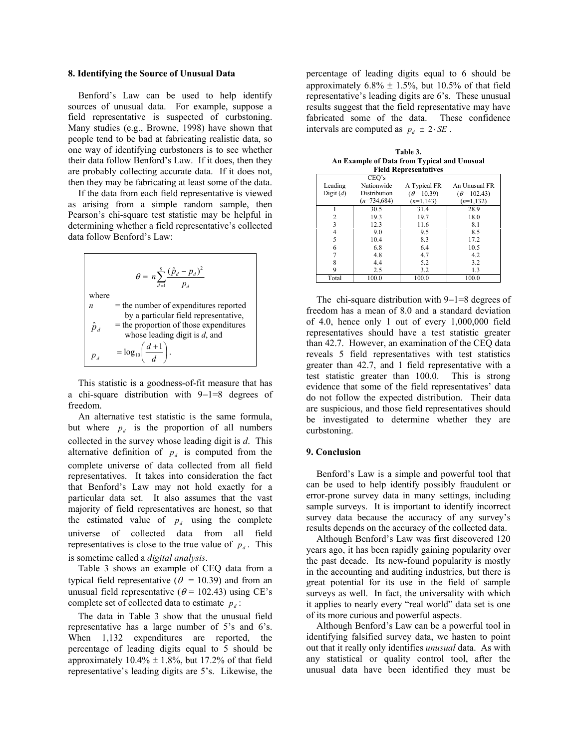#### **8. Identifying the Source of Unusual Data**

Benford's Law can be used to help identify sources of unusual data. For example, suppose a field representative is suspected of curbstoning. Many studies (e.g., Browne, 1998) have shown that people tend to be bad at fabricating realistic data, so one way of identifying curbstoners is to see whether their data follow Benford's Law. If it does, then they are probably collecting accurate data. If it does not, then they may be fabricating at least some of the data.

If the data from each field representative is viewed as arising from a simple random sample, then Pearson's chi-square test statistic may be helpful in determining whether a field representative's collected data follow Benford's Law:

$$
\theta = n \sum_{d=1}^{9} \frac{(\hat{p}_d - p_d)^2}{p_d}
$$
  
where  

$$
n =
$$
 the number of expenditures reported  
by a particular field representative,  

$$
\hat{p}_d =
$$
 the proportion of those expenditures  
whose leading digit is *d*, and  

$$
p_d = \log_{10} \left( \frac{d+1}{d} \right).
$$

This statistic is a goodness-of-fit measure that has a chi-square distribution with 9−1=8 degrees of freedom.

An alternative test statistic is the same formula, but where  $p_d$  is the proportion of all numbers collected in the survey whose leading digit is *d*. This alternative definition of  $p_d$  is computed from the complete universe of data collected from all field representatives. It takes into consideration the fact that Benford's Law may not hold exactly for a particular data set. It also assumes that the vast majority of field representatives are honest, so that the estimated value of  $p_d$  using the complete universe of collected data from all field representatives is close to the true value of  $p_d$ . This is sometime called a *digital analysis*.

Table 3 shows an example of CEQ data from a typical field representative ( $\theta$  = 10.39) and from an unusual field representative ( $\theta$  = 102.43) using CE's complete set of collected data to estimate  $p_d$ :

The data in Table 3 show that the unusual field representative has a large number of 5's and 6's. When  $1,132$  expenditures are reported, the percentage of leading digits equal to 5 should be approximately  $10.4\% \pm 1.8\%$ , but 17.2% of that field representative's leading digits are 5's. Likewise, the percentage of leading digits equal to 6 should be approximately  $6.8\% \pm 1.5\%$ , but 10.5% of that field representative's leading digits are 6's. These unusual results suggest that the field representative may have fabricated some of the data. These confidence intervals are computed as  $p_d \pm 2 \cdot SE$ .

**Table 3. An Example of Data from Typical and Unusual Field Representatives** 

|             | CEO's         |                    |                     |
|-------------|---------------|--------------------|---------------------|
| Leading     | Nationwide    | A Typical FR       | An Unusual FR       |
| Digit $(d)$ | Distribution  | $(\theta = 10.39)$ | $(\theta = 102.43)$ |
|             | $(n=734,684)$ | $(n=1, 143)$       | $(n=1,132)$         |
|             | 30.5          | 31.4               | 28.9                |
| 2           | 19.3          | 19.7               | 18.0                |
| 3           | 12.3          | 11.6               | 8.1                 |
| 4           | 9.0           | 9.5                | 8.5                 |
| 5           | 10.4          | 8.3                | 17.2                |
| 6           | 6.8           | 6.4                | 10.5                |
|             | 4.8           | 4.7                | 4.2                 |
| 8           | 4.4           | 5.2                | 32                  |
| 9           | 2.5           | 3.2                | 1.3                 |
| Total       | 100.0         | 100.0              | 100.0               |

The chi-square distribution with 9−1=8 degrees of freedom has a mean of 8.0 and a standard deviation of 4.0, hence only 1 out of every 1,000,000 field representatives should have a test statistic greater than 42.7. However, an examination of the CEQ data reveals 5 field representatives with test statistics greater than 42.7, and 1 field representative with a test statistic greater than 100.0. This is strong evidence that some of the field representatives' data do not follow the expected distribution. Their data are suspicious, and those field representatives should be investigated to determine whether they are curbstoning.

#### **9. Conclusion**

Benford's Law is a simple and powerful tool that can be used to help identify possibly fraudulent or error-prone survey data in many settings, including sample surveys. It is important to identify incorrect survey data because the accuracy of any survey's results depends on the accuracy of the collected data.

Although Benford's Law was first discovered 120 years ago, it has been rapidly gaining popularity over the past decade. Its new-found popularity is mostly in the accounting and auditing industries, but there is great potential for its use in the field of sample surveys as well. In fact, the universality with which it applies to nearly every "real world" data set is one of its more curious and powerful aspects.

Although Benford's Law can be a powerful tool in identifying falsified survey data, we hasten to point out that it really only identifies *unusual* data. As with any statistical or quality control tool, after the unusual data have been identified they must be